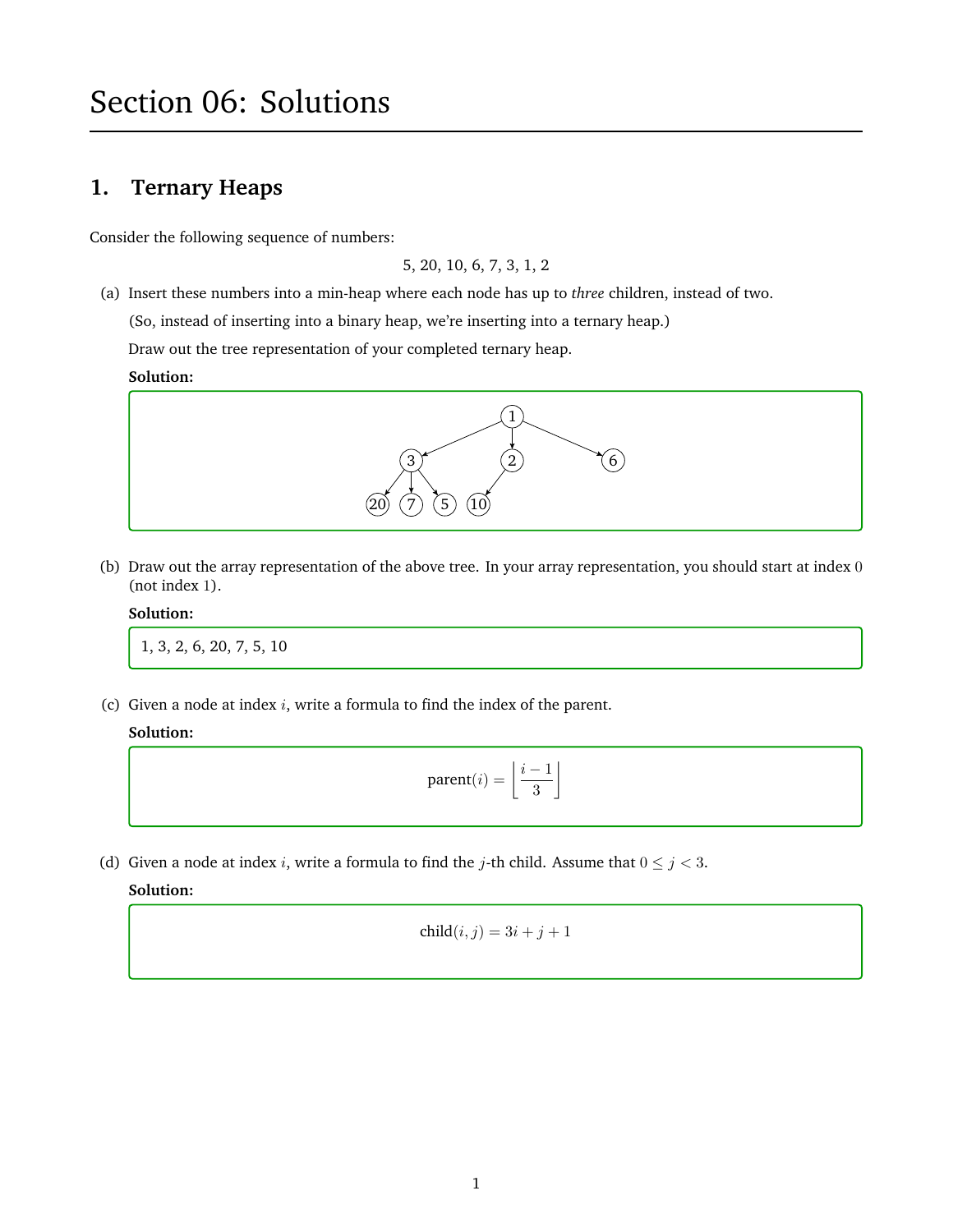# Section 06: Solutions

# **1. Ternary Heaps**

Consider the following sequence of numbers:

5, 20, 10, 6, 7, 3, 1, 2

(a) Insert these numbers into a min-heap where each node has up to *three* children, instead of two.

(So, instead of inserting into a binary heap, we're inserting into a ternary heap.)

Draw out the tree representation of your completed ternary heap.

**Solution:**



(b) Draw out the array representation of the above tree. In your array representation, you should start at index 0 (not index 1).

#### **Solution:**

1, 3, 2, 6, 20, 7, 5, 10

(c) Given a node at index  $i$ , write a formula to find the index of the parent.

### **Solution:**

$$
\text{parent}(i) = \left\lfloor \frac{i-1}{3} \right\rfloor
$$

(d) Given a node at index *i*, write a formula to find the *j*-th child. Assume that  $0 \le j < 3$ .

**Solution:**

$$
child(i,j) = 3i + j + 1
$$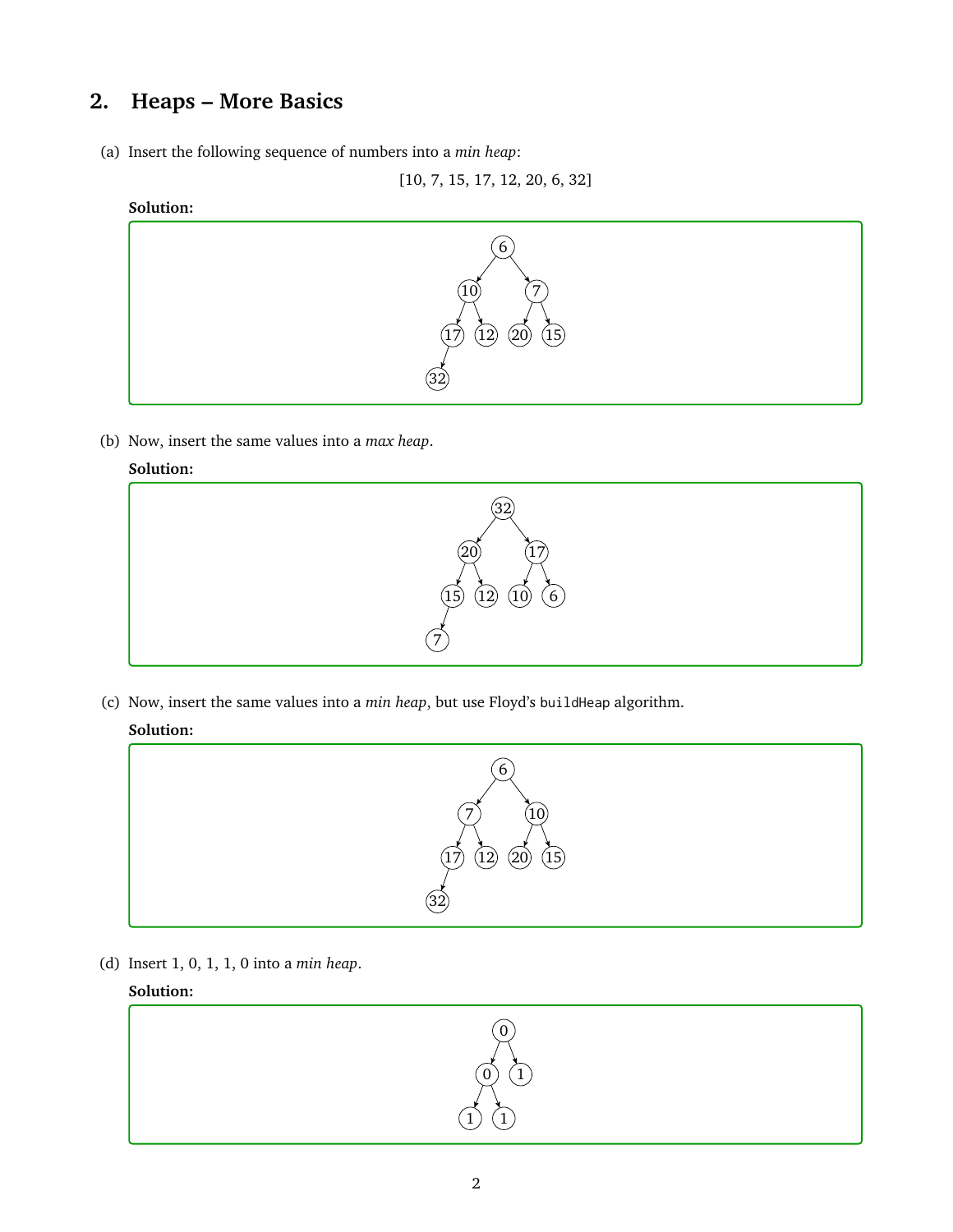# **2. Heaps – More Basics**

(a) Insert the following sequence of numbers into a *min heap*:

[10, 7, 15, 17, 12, 20, 6, 32]

### **Solution:**



(b) Now, insert the same values into a *max heap*.

### **Solution:**



(c) Now, insert the same values into a *min heap*, but use Floyd's buildHeap algorithm.

## **Solution:**



(d) Insert 1, 0, 1, 1, 0 into a *min heap*.

### **Solution:**

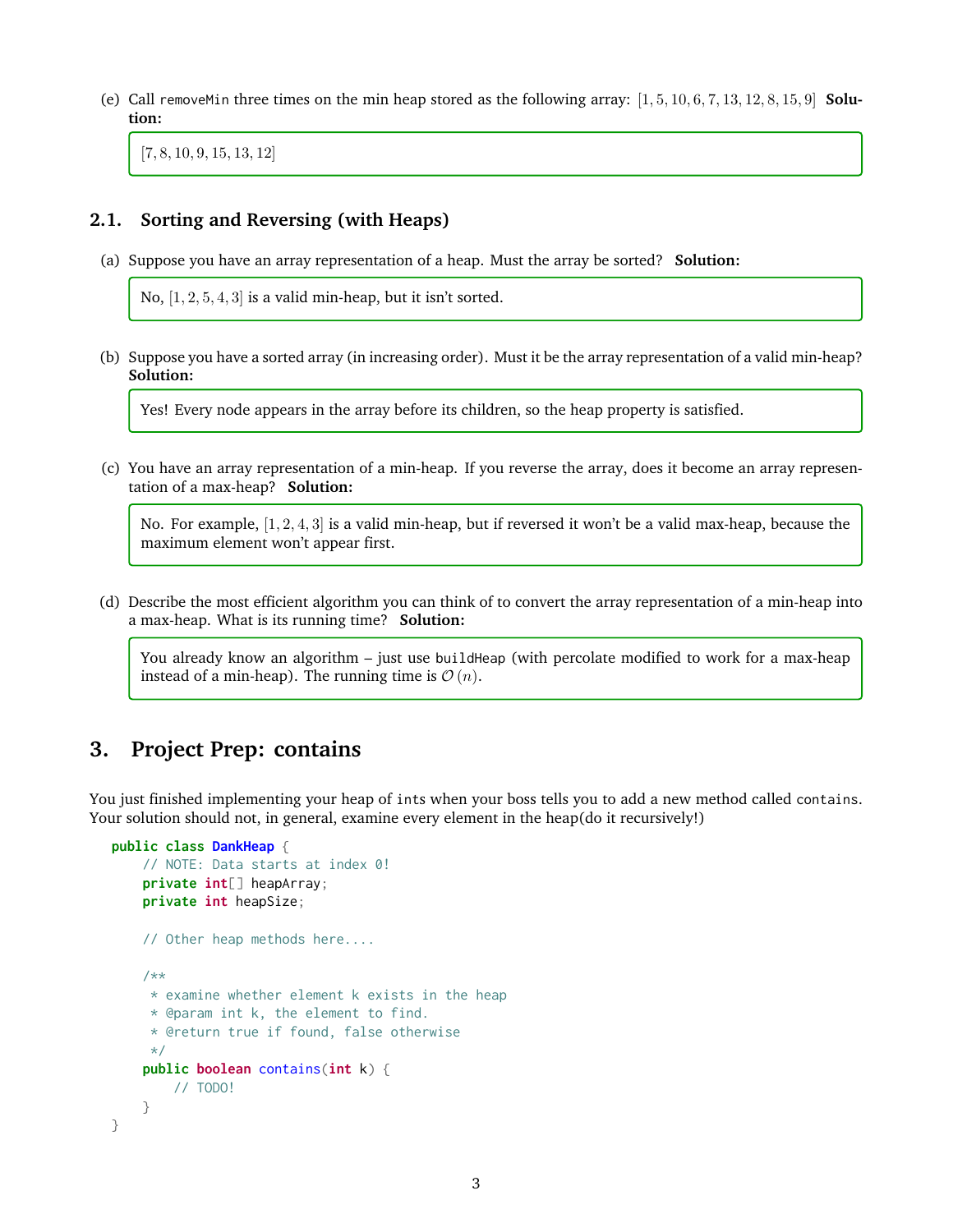(e) Call removeMin three times on the min heap stored as the following array: [1, 5, 10, 6, 7, 13, 12, 8, 15, 9] **Solution:**

[7, 8, 10, 9, 15, 13, 12]

### **2.1. Sorting and Reversing (with Heaps)**

(a) Suppose you have an array representation of a heap. Must the array be sorted? **Solution:**

No,  $[1, 2, 5, 4, 3]$  is a valid min-heap, but it isn't sorted.

(b) Suppose you have a sorted array (in increasing order). Must it be the array representation of a valid min-heap? **Solution:**

Yes! Every node appears in the array before its children, so the heap property is satisfied.

(c) You have an array representation of a min-heap. If you reverse the array, does it become an array representation of a max-heap? **Solution:**

No. For example, [1, 2, 4, 3] is a valid min-heap, but if reversed it won't be a valid max-heap, because the maximum element won't appear first.

(d) Describe the most efficient algorithm you can think of to convert the array representation of a min-heap into a max-heap. What is its running time? **Solution:**

You already know an algorithm – just use buildHeap (with percolate modified to work for a max-heap instead of a min-heap). The running time is  $\mathcal{O}(n)$ .

# **3. Project Prep: contains**

You just finished implementing your heap of ints when your boss tells you to add a new method called contains. Your solution should not, in general, examine every element in the heap(do it recursively!)

```
public class DankHeap {
    // NOTE: Data starts at index 0!
    private int[] heapArray;
   private int heapSize;
    // Other heap methods here....
    /**
    * examine whether element k exists in the heap
     * @param int k, the element to find.
     * @return true if found, false otherwise
     */
    public boolean contains(int k) {
        // TODO!
    }
}
```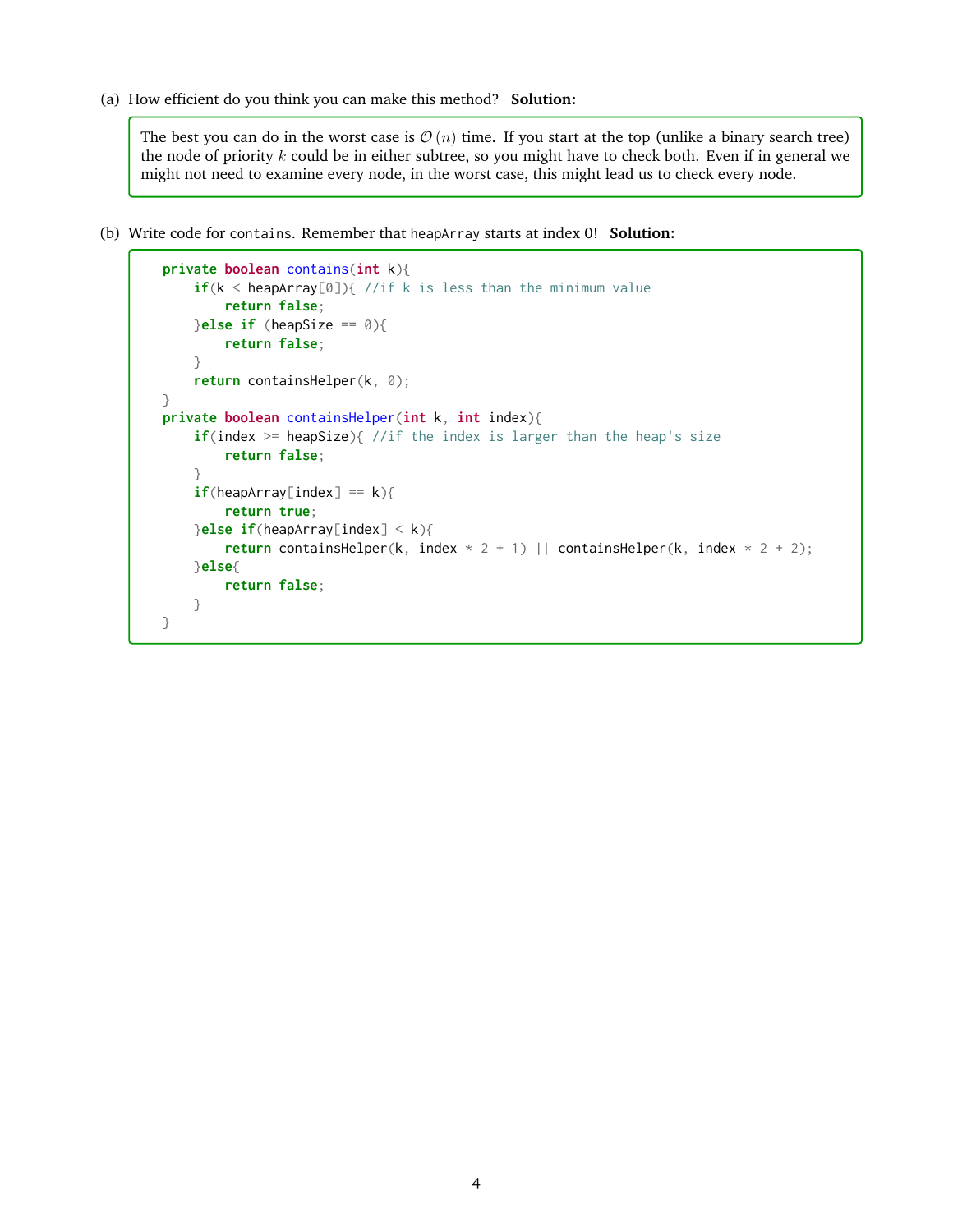(a) How efficient do you think you can make this method? **Solution:**

The best you can do in the worst case is  $\mathcal{O}(n)$  time. If you start at the top (unlike a binary search tree) the node of priority  $k$  could be in either subtree, so you might have to check both. Even if in general we might not need to examine every node, in the worst case, this might lead us to check every node.

(b) Write code for contains. Remember that heapArray starts at index 0! **Solution:**

```
private boolean contains(int k){
    if(k < heapArray[0]){ //if k is less than the minimum value
        return false;
   }else if (heapSize == 0){
        return false;
    }
    return containsHelper(k, 0);
}
private boolean containsHelper(int k, int index){
    if(index >= heapSize){ //if the index is larger than the heap's size
        return false;
    }
    if(heapArray[index] == k){
        return true;
    }else if(heapArray[index] < k){
        return containsHelper(k, index * 2 + 1) || containsHelper(k, index * 2 + 2);
   }else{
        return false;
    }
}
```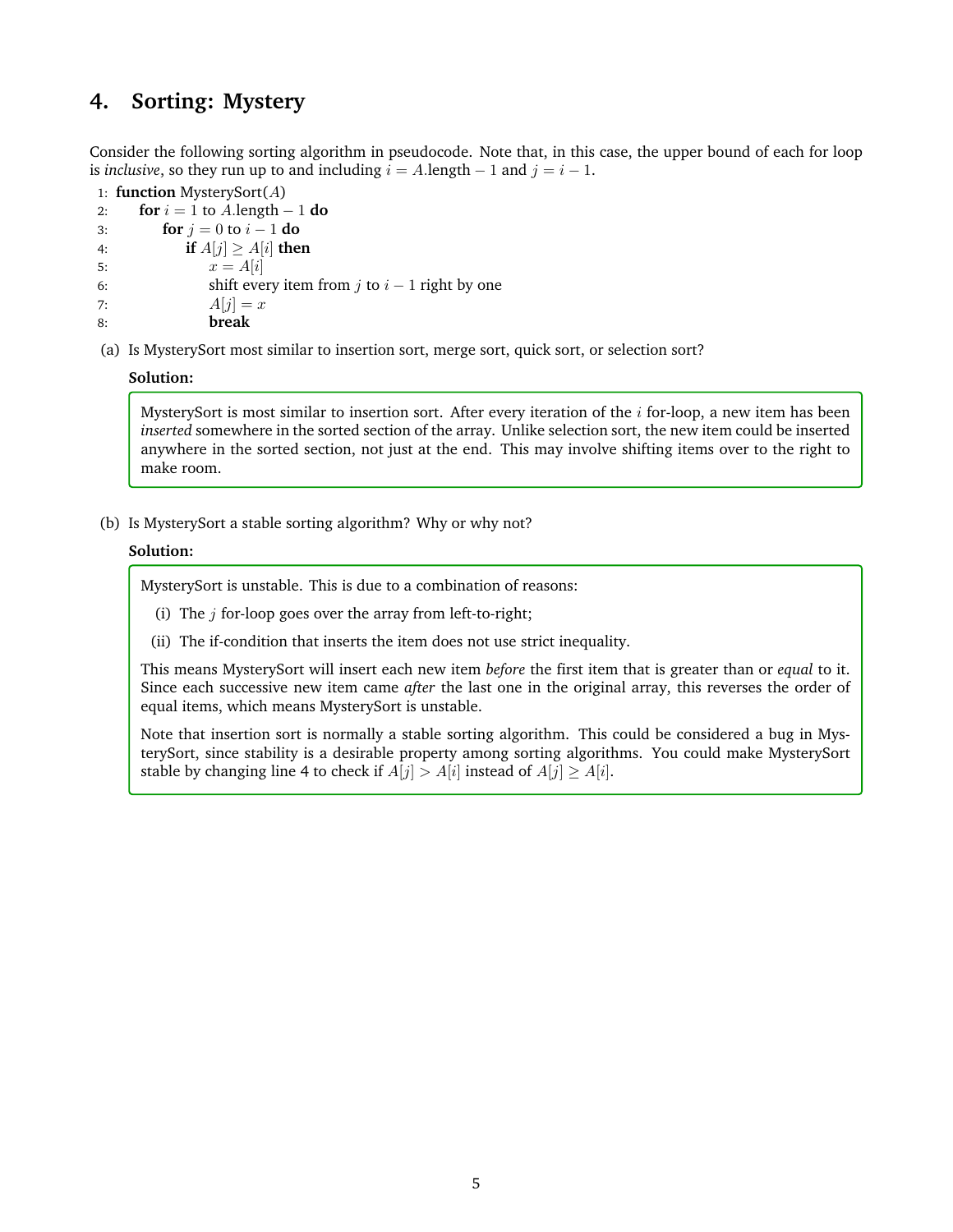# **4. Sorting: Mystery**

Consider the following sorting algorithm in pseudocode. Note that, in this case, the upper bound of each for loop is *inclusive*, so they run up to and including  $i = A$ .length  $-1$  and  $j = i - 1$ .

1: **function** MysterySort(A) 2: **for**  $i = 1$  to A.length  $-1$  **do** 3: **for**  $j = 0$  to  $i - 1$  **do** 4: **if**  $A[j] \geq A[i]$  **then** 5:  $x = A[i]$ 6: shift every item from j to  $i - 1$  right by one 7:  $A[i] = x$ 8: **break**

(a) Is MysterySort most similar to insertion sort, merge sort, quick sort, or selection sort?

#### **Solution:**

MysterySort is most similar to insertion sort. After every iteration of the  $i$  for-loop, a new item has been *inserted* somewhere in the sorted section of the array. Unlike selection sort, the new item could be inserted anywhere in the sorted section, not just at the end. This may involve shifting items over to the right to make room.

(b) Is MysterySort a stable sorting algorithm? Why or why not?

### **Solution:**

MysterySort is unstable. This is due to a combination of reasons:

- (i) The  $j$  for-loop goes over the array from left-to-right;
- (ii) The if-condition that inserts the item does not use strict inequality.

This means MysterySort will insert each new item *before* the first item that is greater than or *equal* to it. Since each successive new item came *after* the last one in the original array, this reverses the order of equal items, which means MysterySort is unstable.

Note that insertion sort is normally a stable sorting algorithm. This could be considered a bug in MysterySort, since stability is a desirable property among sorting algorithms. You could make MysterySort stable by changing line 4 to check if  $A[i] > A[i]$  instead of  $A[i] > A[i]$ .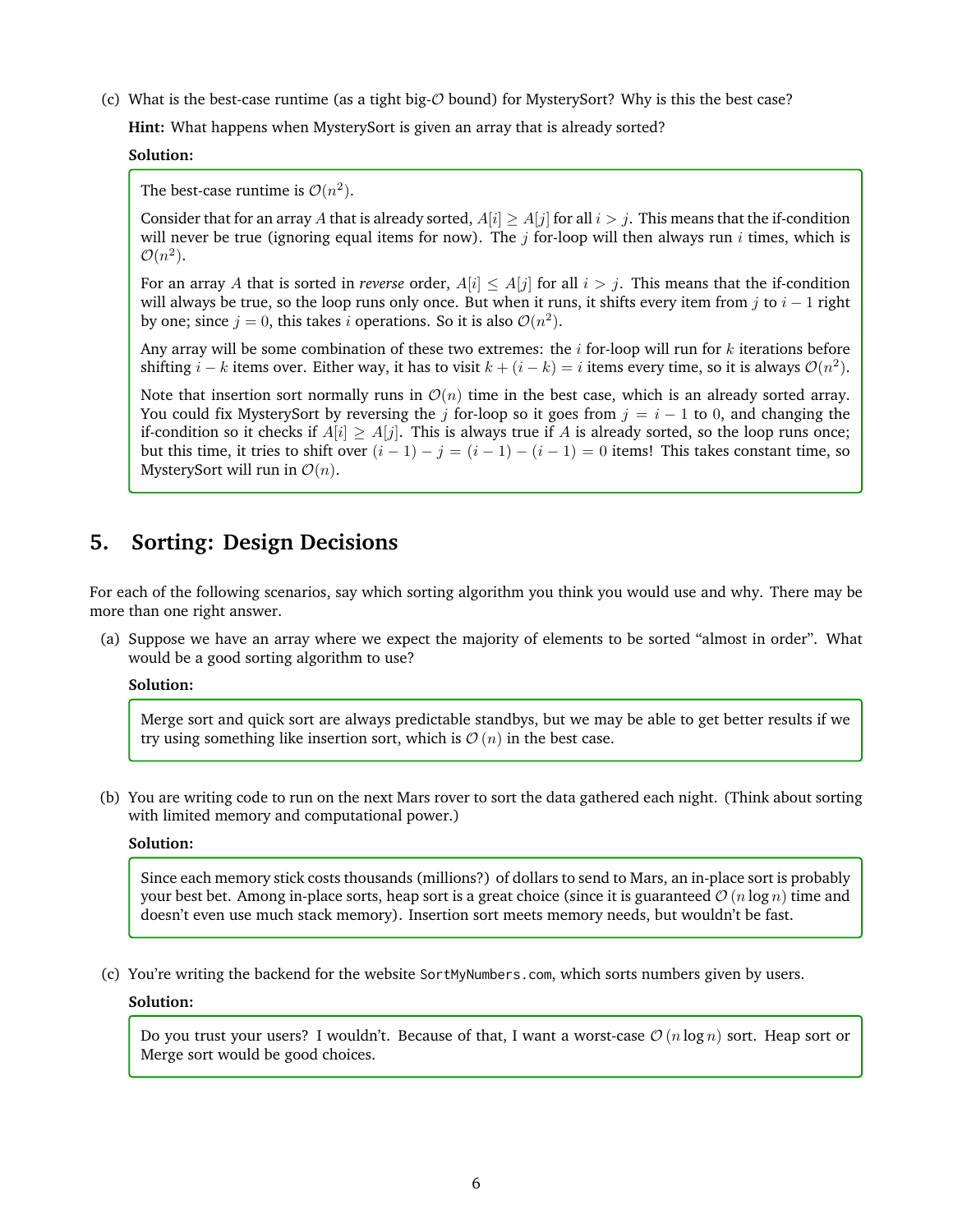(c) What is the best-case runtime (as a tight big- $\mathcal O$  bound) for MysterySort? Why is this the best case?

**Hint:** What happens when MysterySort is given an array that is already sorted?

**Solution:**

The best-case runtime is  $\mathcal{O}(n^2)$ .

Consider that for an array A that is already sorted,  $A[i] > A[j]$  for all  $i > j$ . This means that the if-condition will never be true (ignoring equal items for now). The  $j$  for-loop will then always run  $i$  times, which is  $\mathcal{O}(n^2)$ .

For an array A that is sorted in *reverse* order,  $A[i] \leq A[j]$  for all  $i > j$ . This means that the if-condition will always be true, so the loop runs only once. But when it runs, it shifts every item from j to  $i - 1$  right by one; since  $j = 0$ , this takes i operations. So it is also  $\mathcal{O}(n^2)$ .

Any array will be some combination of these two extremes: the  $i$  for-loop will run for  $k$  iterations before shifting  $i - k$  items over. Either way, it has to visit  $k + (i - k) = i$  items every time, so it is always  $\mathcal{O}(n^2)$ .

Note that insertion sort normally runs in  $\mathcal{O}(n)$  time in the best case, which is an already sorted array. You could fix MysterySort by reversing the j for-loop so it goes from  $j = i - 1$  to 0, and changing the if-condition so it checks if  $A[i] > A[i]$ . This is always true if A is already sorted, so the loop runs once; but this time, it tries to shift over  $(i - 1) - j = (i - 1) - (i - 1) = 0$  items! This takes constant time, so MysterySort will run in  $\mathcal{O}(n)$ .

# **5. Sorting: Design Decisions**

For each of the following scenarios, say which sorting algorithm you think you would use and why. There may be more than one right answer.

(a) Suppose we have an array where we expect the majority of elements to be sorted "almost in order". What would be a good sorting algorithm to use?

**Solution:**

Merge sort and quick sort are always predictable standbys, but we may be able to get better results if we try using something like insertion sort, which is  $\mathcal{O}(n)$  in the best case.

(b) You are writing code to run on the next Mars rover to sort the data gathered each night. (Think about sorting with limited memory and computational power.)

#### **Solution:**

Since each memory stick costs thousands (millions?) of dollars to send to Mars, an in-place sort is probably your best bet. Among in-place sorts, heap sort is a great choice (since it is guaranteed  $\mathcal{O}(n \log n)$  time and doesn't even use much stack memory). Insertion sort meets memory needs, but wouldn't be fast.

(c) You're writing the backend for the website SortMyNumbers.com, which sorts numbers given by users.

#### **Solution:**

Do you trust your users? I wouldn't. Because of that, I want a worst-case  $\mathcal{O}(n \log n)$  sort. Heap sort or Merge sort would be good choices.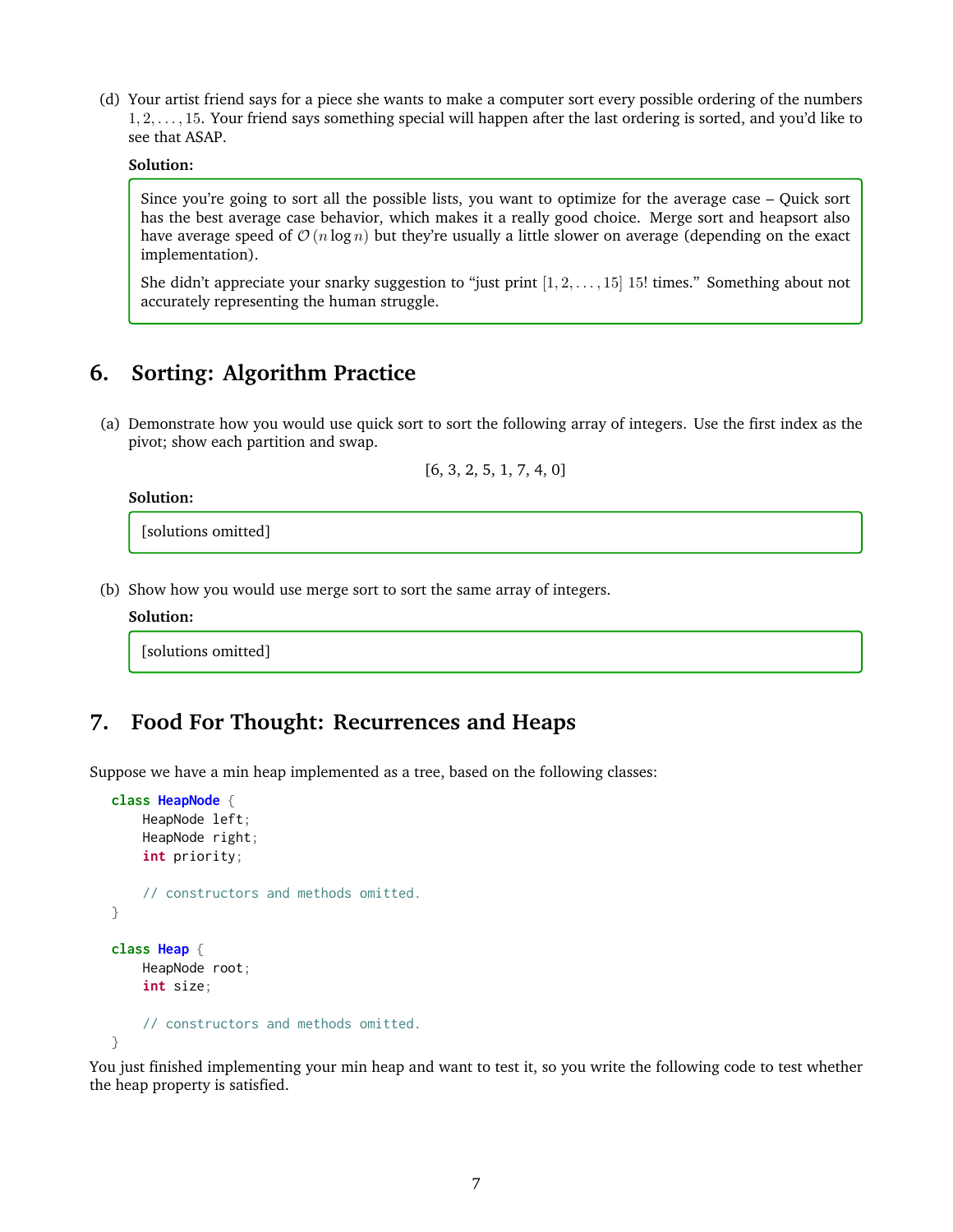(d) Your artist friend says for a piece she wants to make a computer sort every possible ordering of the numbers 1, 2, . . . , 15. Your friend says something special will happen after the last ordering is sorted, and you'd like to see that ASAP.

#### **Solution:**

Since you're going to sort all the possible lists, you want to optimize for the average case – Quick sort has the best average case behavior, which makes it a really good choice. Merge sort and heapsort also have average speed of  $\mathcal{O}(n \log n)$  but they're usually a little slower on average (depending on the exact implementation).

She didn't appreciate your snarky suggestion to "just print  $[1, 2, \ldots, 15]$  15! times." Something about not accurately representing the human struggle.

# **6. Sorting: Algorithm Practice**

(a) Demonstrate how you would use quick sort to sort the following array of integers. Use the first index as the pivot; show each partition and swap.

[6, 3, 2, 5, 1, 7, 4, 0]

#### **Solution:**

[solutions omitted]

(b) Show how you would use merge sort to sort the same array of integers.

#### **Solution:**

[solutions omitted]

# **7. Food For Thought: Recurrences and Heaps**

Suppose we have a min heap implemented as a tree, based on the following classes:

```
class HeapNode {
    HeapNode left;
    HeapNode right;
    int priority;
    // constructors and methods omitted.
}
class Heap {
    HeapNode root;
    int size;
    // constructors and methods omitted.
}
```
You just finished implementing your min heap and want to test it, so you write the following code to test whether the heap property is satisfied.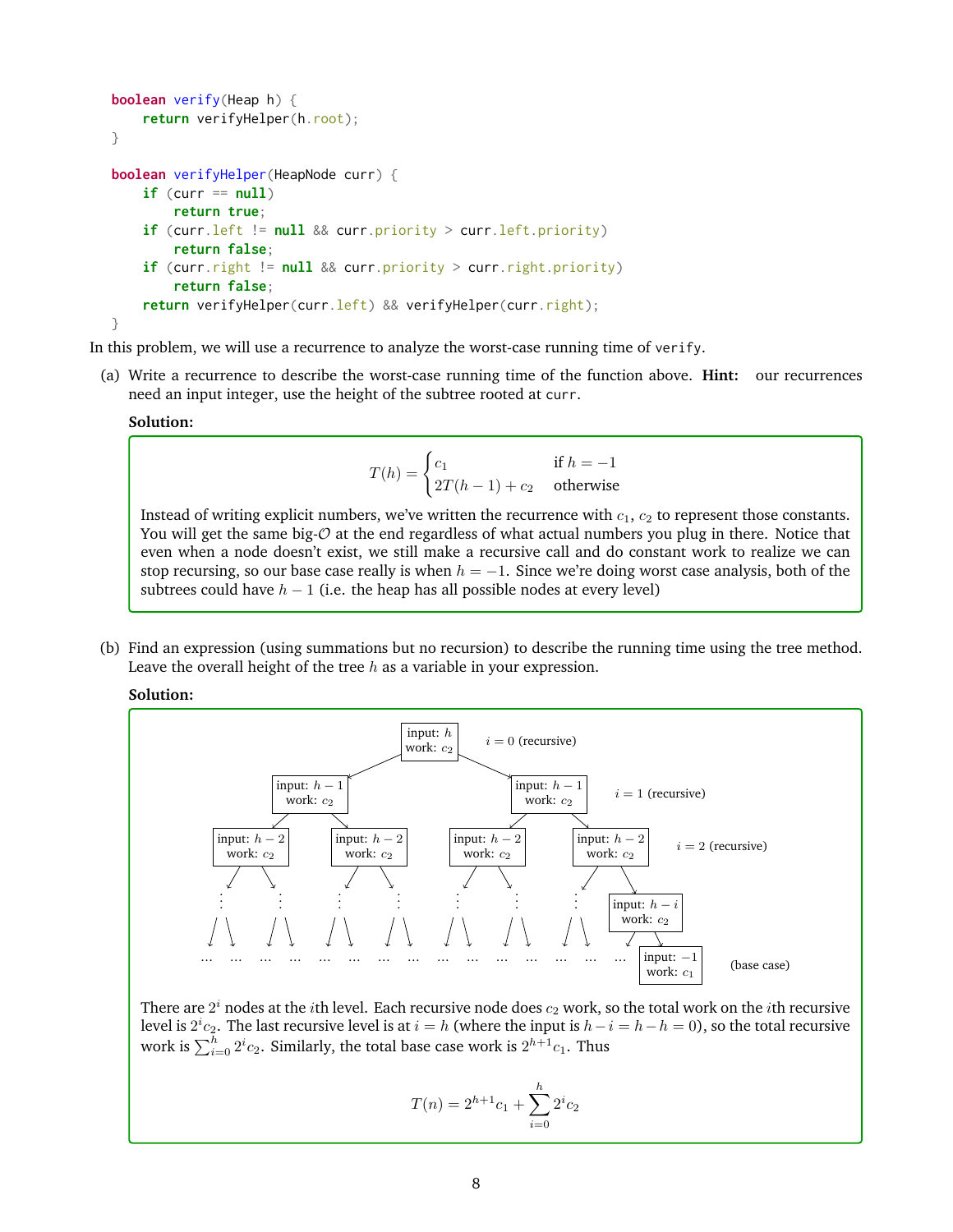```
boolean verify(Heap h) {
    return verifyHelper(h.root);
}
boolean verifyHelper(HeapNode curr) {
    if (curr == null)
        return true;
    if (curr.left != null && curr.priority > curr.left.priority)
        return false;
    if (curr.right != null && curr.priority > curr.right.priority)
        return false;
    return verifyHelper(curr.left) && verifyHelper(curr.right);
}
```
In this problem, we will use a recurrence to analyze the worst-case running time of verify.

(a) Write a recurrence to describe the worst-case running time of the function above. **Hint:** our recurrences need an input integer, use the height of the subtree rooted at curr.

#### **Solution:**

$$
T(h) = \begin{cases} c_1 & \text{if } h = -1\\ 2T(h-1) + c_2 & \text{otherwise} \end{cases}
$$

Instead of writing explicit numbers, we've written the recurrence with  $c_1$ ,  $c_2$  to represent those constants. You will get the same big- $\mathcal O$  at the end regardless of what actual numbers you plug in there. Notice that even when a node doesn't exist, we still make a recursive call and do constant work to realize we can stop recursing, so our base case really is when  $h = -1$ . Since we're doing worst case analysis, both of the subtrees could have  $h - 1$  (i.e. the heap has all possible nodes at every level)

(b) Find an expression (using summations but no recursion) to describe the running time using the tree method. Leave the overall height of the tree  $h$  as a variable in your expression.

**Solution:**



There are  $2^i$  nodes at the  $i$ th level. Each recursive node does  $c_2$  work, so the total work on the  $i$ th recursive level is  $2^i c_2$ . The last recursive level is at  $i = h$  (where the input is  $h - i = h - h = 0$ ), so the total recursive work is  $\sum_{i=0}^h2^ic_2$ . Similarly, the total base case work is  $2^{h+1}c_1$ . Thus

$$
T(n) = 2^{h+1}c_1 + \sum_{i=0}^{h} 2^i c_2
$$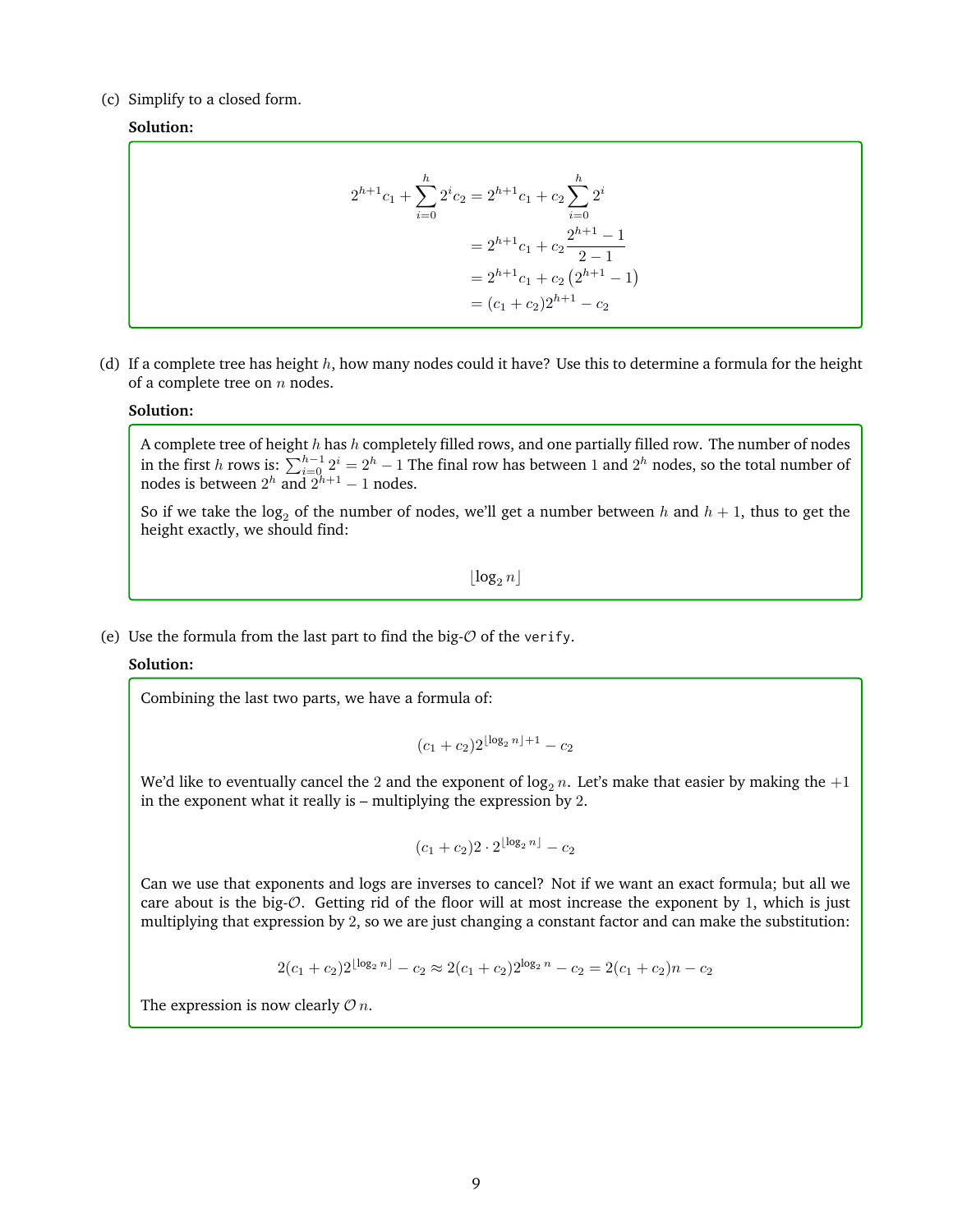#### (c) Simplify to a closed form.

### **Solution:**

$$
2^{h+1}c_1 + \sum_{i=0}^{h} 2^i c_2 = 2^{h+1}c_1 + c_2 \sum_{i=0}^{h} 2^i
$$
  
=  $2^{h+1}c_1 + c_2 \frac{2^{h+1} - 1}{2 - 1}$   
=  $2^{h+1}c_1 + c_2 (2^{h+1} - 1)$   
=  $(c_1 + c_2)2^{h+1} - c_2$ 

(d) If a complete tree has height  $h$ , how many nodes could it have? Use this to determine a formula for the height of a complete tree on  $n$  nodes.

#### **Solution:**

A complete tree of height  $h$  has  $h$  completely filled rows, and one partially filled row. The number of nodes in the first h rows is:  $\sum_{i=0}^{h-1} 2^i = 2^h - 1$  The final row has between 1 and  $2^h$  nodes, so the total number of nodes is between  $2^h$  and  $2^{h+1} - 1$  nodes.

So if we take the log<sub>2</sub> of the number of nodes, we'll get a number between h and  $h + 1$ , thus to get the height exactly, we should find:

 $\log_2 n$ 

(e) Use the formula from the last part to find the big- $\mathcal O$  of the verify.

#### **Solution:**

Combining the last two parts, we have a formula of:

$$
(c_1+c_2)2^{\lfloor \log_2 n \rfloor +1} - c_2
$$

We'd like to eventually cancel the 2 and the exponent of  $\log_2 n$ . Let's make that easier by making the  $+1$ in the exponent what it really is – multiplying the expression by 2.

$$
(c_1+c_2)2\cdot 2^{\lfloor \log_2 n \rfloor}-c_2
$$

Can we use that exponents and logs are inverses to cancel? Not if we want an exact formula; but all we care about is the big- $\mathcal{O}$ . Getting rid of the floor will at most increase the exponent by 1, which is just multiplying that expression by 2, so we are just changing a constant factor and can make the substitution:

$$
2(c_1 + c_2)2^{\lfloor \log_2 n \rfloor} - c_2 \approx 2(c_1 + c_2)2^{\log_2 n} - c_2 = 2(c_1 + c_2)n - c_2
$$

The expression is now clearly  $\mathcal{O} n$ .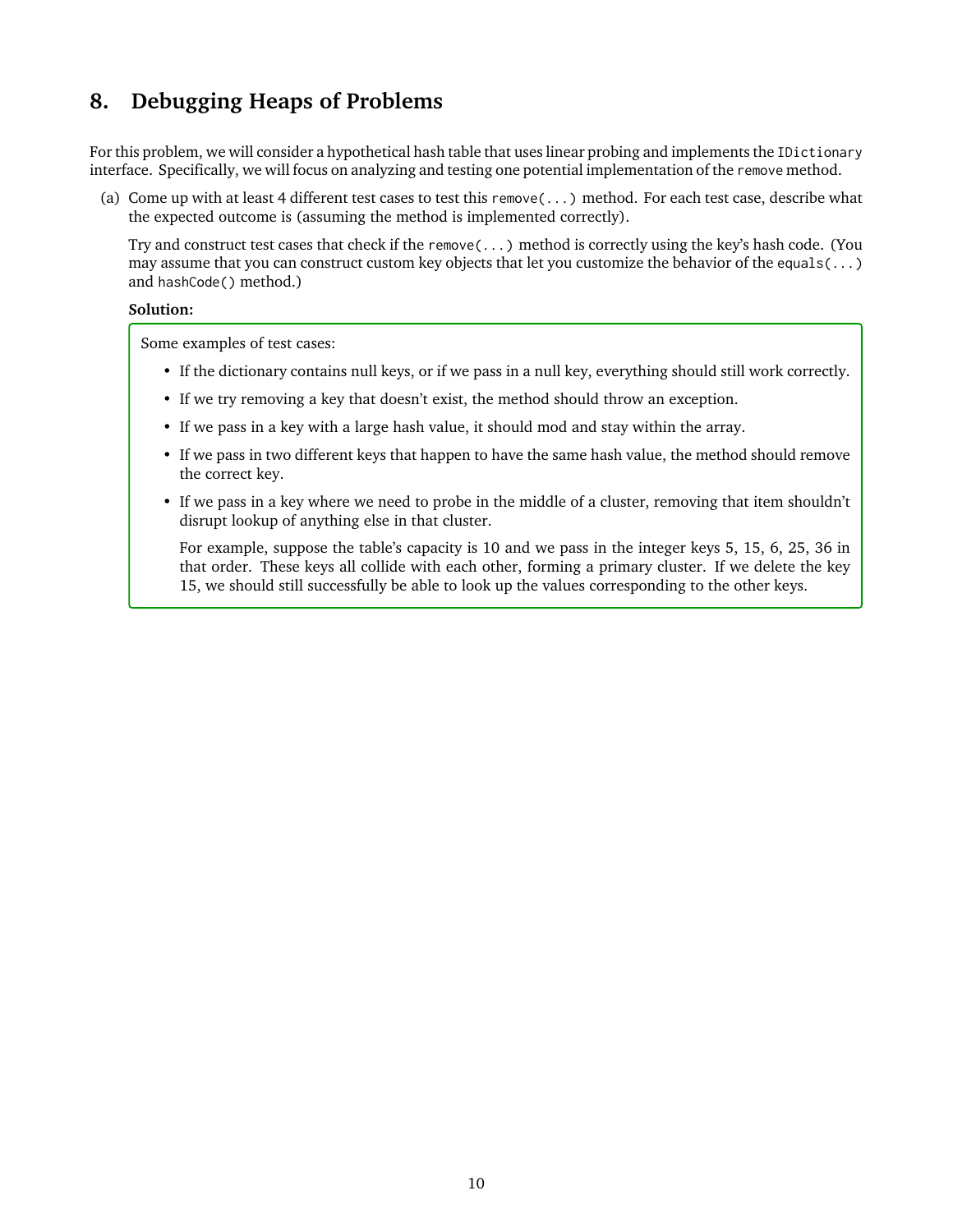# **8. Debugging Heaps of Problems**

For this problem, we will consider a hypothetical hash table that uses linear probing and implements the IDictionary interface. Specifically, we will focus on analyzing and testing one potential implementation of the remove method.

(a) Come up with at least 4 different test cases to test this remove(...) method. For each test case, describe what the expected outcome is (assuming the method is implemented correctly).

Try and construct test cases that check if the remove(...) method is correctly using the key's hash code. (You may assume that you can construct custom key objects that let you customize the behavior of the equals( $\dots$ ) and hashCode() method.)

### **Solution:**

Some examples of test cases:

- If the dictionary contains null keys, or if we pass in a null key, everything should still work correctly.
- If we try removing a key that doesn't exist, the method should throw an exception.
- If we pass in a key with a large hash value, it should mod and stay within the array.
- If we pass in two different keys that happen to have the same hash value, the method should remove the correct key.
- If we pass in a key where we need to probe in the middle of a cluster, removing that item shouldn't disrupt lookup of anything else in that cluster.

For example, suppose the table's capacity is 10 and we pass in the integer keys 5, 15, 6, 25, 36 in that order. These keys all collide with each other, forming a primary cluster. If we delete the key 15, we should still successfully be able to look up the values corresponding to the other keys.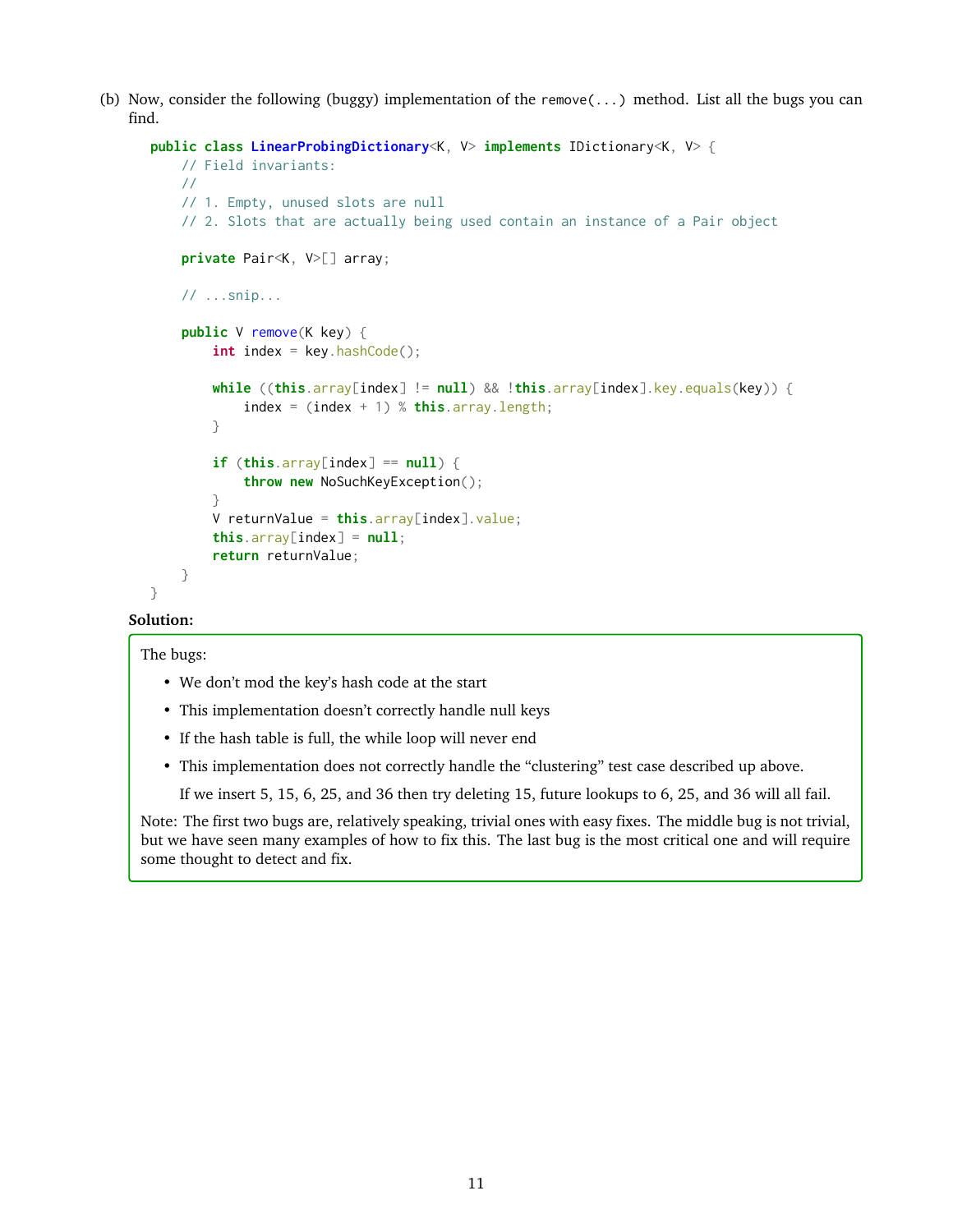(b) Now, consider the following (buggy) implementation of the remove(...) method. List all the bugs you can find.

```
public class LinearProbingDictionary<K, V> implements IDictionary<K, V> {
   // Field invariants:
   //
   // 1. Empty, unused slots are null
    // 2. Slots that are actually being used contain an instance of a Pair object
    private Pair<K, V>[] array;
   // ...snip...
    public V remove(K key) {
        int index = key.hashCode();
        while ((this.array[index] != null) && !this.array[index].key.equals(key)) {
            index = (index + 1) % this.array.length;
        }
        if (this.array[index] == null) {
            throw new NoSuchKeyException();
        }
        V returnValue = this.array[index].value;
        this.array[index] = null;return returnValue;
   }
}
```
# **Solution:**

The bugs:

- We don't mod the key's hash code at the start
- This implementation doesn't correctly handle null keys
- If the hash table is full, the while loop will never end
- This implementation does not correctly handle the "clustering" test case described up above.

If we insert 5, 15, 6, 25, and 36 then try deleting 15, future lookups to 6, 25, and 36 will all fail.

Note: The first two bugs are, relatively speaking, trivial ones with easy fixes. The middle bug is not trivial, but we have seen many examples of how to fix this. The last bug is the most critical one and will require some thought to detect and fix.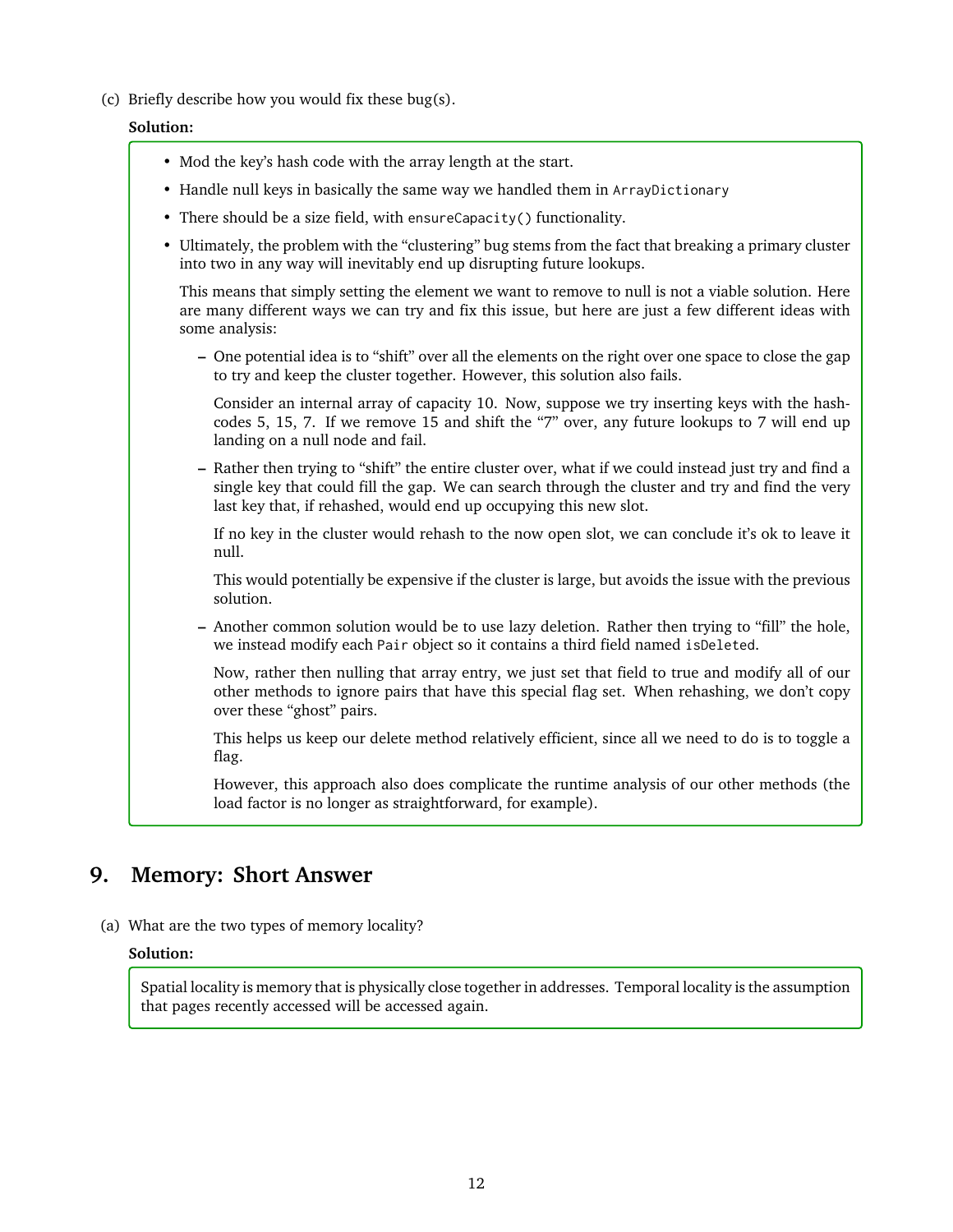(c) Briefly describe how you would fix these bug(s).

# **Solution:**

- Mod the key's hash code with the array length at the start.
- Handle null keys in basically the same way we handled them in ArrayDictionary
- There should be a size field, with ensureCapacity() functionality.
- Ultimately, the problem with the "clustering" bug stems from the fact that breaking a primary cluster into two in any way will inevitably end up disrupting future lookups.

This means that simply setting the element we want to remove to null is not a viable solution. Here are many different ways we can try and fix this issue, but here are just a few different ideas with some analysis:

**–** One potential idea is to "shift" over all the elements on the right over one space to close the gap to try and keep the cluster together. However, this solution also fails.

Consider an internal array of capacity 10. Now, suppose we try inserting keys with the hashcodes 5, 15, 7. If we remove 15 and shift the "7" over, any future lookups to 7 will end up landing on a null node and fail.

**–** Rather then trying to "shift" the entire cluster over, what if we could instead just try and find a single key that could fill the gap. We can search through the cluster and try and find the very last key that, if rehashed, would end up occupying this new slot.

If no key in the cluster would rehash to the now open slot, we can conclude it's ok to leave it null.

This would potentially be expensive if the cluster is large, but avoids the issue with the previous solution.

**–** Another common solution would be to use lazy deletion. Rather then trying to "fill" the hole, we instead modify each Pair object so it contains a third field named isDeleted.

Now, rather then nulling that array entry, we just set that field to true and modify all of our other methods to ignore pairs that have this special flag set. When rehashing, we don't copy over these "ghost" pairs.

This helps us keep our delete method relatively efficient, since all we need to do is to toggle a flag.

However, this approach also does complicate the runtime analysis of our other methods (the load factor is no longer as straightforward, for example).

# **9. Memory: Short Answer**

(a) What are the two types of memory locality?

# **Solution:**

Spatial locality is memory that is physically close together in addresses. Temporal locality is the assumption that pages recently accessed will be accessed again.